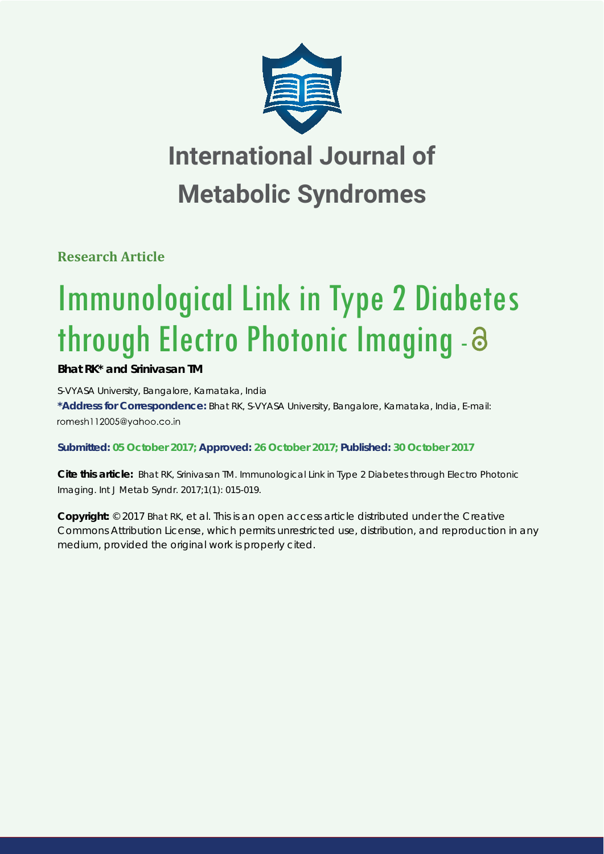

# **International Journal of Metabolic Syndromes**

**Research Article**

# Immunological Link in Type 2 Diabetes through Electro Photonic Imaging -

# **Bhat RK\* and Srinivasan TM**

*S-VYASA University, Bangalore, Karnataka, India*  **\*Address for Correspondence:** Bhat RK, S-VYASA University, Bangalore, Karnataka, India, E-mail: romesh112005@vahoo.co.in

**Submitted: 05 October 2017; Approved: 26 October 2017; Published: 30 October 2017**

**Cite this article:** Bhat RK, Srinivasan TM. Immunological Link in Type 2 Diabetes through Electro Photonic Imaging. Int J Metab Syndr. 2017;1(1): 015-019.

**Copyright:** © 2017 Bhat RK, et al. This is an open access article distributed under the Creative Commons Attribution License, which permits unrestricted use, distribution, and reproduction in any medium, provided the original work is properly cited.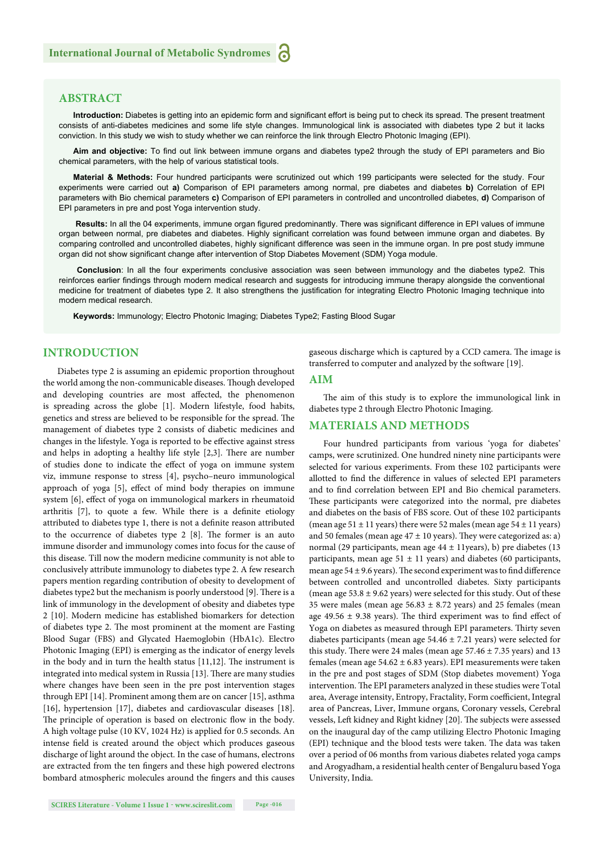# **ABSTRACT**

Introduction: Diabetes is getting into an epidemic form and significant effort is being put to check its spread. The present treatment consists of anti-diabetes medicines and some life style changes. Immunological link is associated with diabetes type 2 but it lacks conviction. In this study we wish to study whether we can reinforce the link through Electro Photonic Imaging (EPI).

Aim and objective: To find out link between immune organs and diabetes type2 through the study of EPI parameters and Bio chemical parameters, with the help of various statistical tools.

**Material & Methods:** Four hundred participants were scrutinized out which 199 participants were selected for the study. Four experiments were carried out **a)** Comparison of EPI parameters among normal, pre diabetes and diabetes **b)** Correlation of EPI parameters with Bio chemical parameters **c)** Comparison of EPI parameters in controlled and uncontrolled diabetes, **d)** Comparison of EPI parameters in pre and post Yoga intervention study.

Results: In all the 04 experiments, immune organ figured predominantly. There was significant difference in EPI values of immune organ between normal, pre diabetes and diabetes. Highly significant correlation was found between immune organ and diabetes. By comparing controlled and uncontrolled diabetes, highly significant difference was seen in the immune organ. In pre post study immune organ did not show significant change after intervention of Stop Diabetes Movement (SDM) Yoga module.

**Conclusion**: In all the four experiments conclusive association was seen between immunology and the diabetes type2. This reinforces earlier findings through modern medical research and suggests for introducing immune therapy alongside the conventional medicine for treatment of diabetes type 2. It also strengthens the justification for integrating Electro Photonic Imaging technique into modern medical research.

**Keywords:** Immunology; Electro Photonic Imaging; Diabetes Type2; Fasting Blood Sugar

# **INTRODUCTION**

Diabetes type 2 is assuming an epidemic proportion throughout the world among the non-communicable diseases. Though developed and developing countries are most affected, the phenomenon is spreading across the globe [1]. Modern lifestyle, food habits, genetics and stress are believed to be responsible for the spread. The management of diabetes type 2 consists of diabetic medicines and changes in the lifestyle. Yoga is reported to be effective against stress and helps in adopting a healthy life style [2,3]. There are number of studies done to indicate the effect of yoga on immune system viz, immune response to stress [4], psycho–neuro immunological approach of yoga [5], effect of mind body therapies on immune system [6], effect of yoga on immunological markers in rheumatoid arthritis [7], to quote a few. While there is a definite etiology attributed to diabetes type 1, there is not a definite reason attributed to the occurrence of diabetes type  $2$  [8]. The former is an auto immune disorder and immunology comes into focus for the cause of this disease. Till now the modern medicine community is not able to conclusively attribute immunology to diabetes type 2. A few research papers mention regarding contribution of obesity to development of diabetes type2 but the mechanism is poorly understood [9]. There is a link of immunology in the development of obesity and diabetes type 2 [10]. Modern medicine has established biomarkers for detection of diabetes type 2. The most prominent at the moment are Fasting Blood Sugar (FBS) and Glycated Haemoglobin (HbA1c). Electro Photonic Imaging (EPI) is emerging as the indicator of energy levels in the body and in turn the health status  $[11,12]$ . The instrument is integrated into medical system in Russia [13]. There are many studies where changes have been seen in the pre post intervention stages through EPI [14]. Prominent among them are on cancer [15], asthma [16], hypertension [17], diabetes and cardiovascular diseases [18]. The principle of operation is based on electronic flow in the body. A high voltage pulse (10 KV, 1024 Hz) is applied for 0.5 seconds. An intense field is created around the object which produces gaseous discharge of light around the object. In the case of humans, electrons are extracted from the ten fingers and these high powered electrons bombard atmospheric molecules around the fingers and this causes gaseous discharge which is captured by a CCD camera. The image is transferred to computer and analyzed by the software [19].

#### **AIM**

The aim of this study is to explore the immunological link in diabetes type 2 through Electro Photonic Imaging.

#### **MATERIALS AND METHODS**

Four hundred participants from various 'yoga for diabetes' camps, were scrutinized. One hundred ninety nine participants were selected for various experiments. From these 102 participants were allotted to find the difference in values of selected EPI parameters and to find correlation between EPI and Bio chemical parameters. These participants were categorized into the normal, pre diabetes and diabetes on the basis of FBS score. Out of these 102 participants (mean age  $51 \pm 11$  years) there were 52 males (mean age  $54 \pm 11$  years) and 50 females (mean age  $47 \pm 10$  years). They were categorized as: a) normal (29 participants, mean age 44 ± 11years), b) pre diabetes (13 participants, mean age  $51 \pm 11$  years) and diabetes (60 participants, mean age  $54 \pm 9.6$  years). The second experiment was to find difference between controlled and uncontrolled diabetes. Sixty participants (mean age  $53.8 \pm 9.62$  years) were selected for this study. Out of these 35 were males (mean age  $56.83 \pm 8.72$  years) and 25 females (mean age 49.56  $\pm$  9.38 years). The third experiment was to find effect of Yoga on diabetes as measured through EPI parameters. Thirty seven diabetes participants (mean age  $54.46 \pm 7.21$  years) were selected for this study. There were 24 males (mean age  $57.46 \pm 7.35$  years) and 13 females (mean age  $54.62 \pm 6.83$  years). EPI measurements were taken in the pre and post stages of SDM (Stop diabetes movement) Yoga intervention. The EPI parameters analyzed in these studies were Total area, Average intensity, Entropy, Fractality, Form coefficient, Integral area of Pancreas, Liver, Immune organs, Coronary vessels, Cerebral vessels, Left kidney and Right kidney [20]. The subjects were assessed on the inaugural day of the camp utilizing Electro Photonic Imaging (EPI) technique and the blood tests were taken. The data was taken over a period of 06 months from various diabetes related yoga camps and Arogyadham, a residential health center of Bengaluru based Yoga University, India.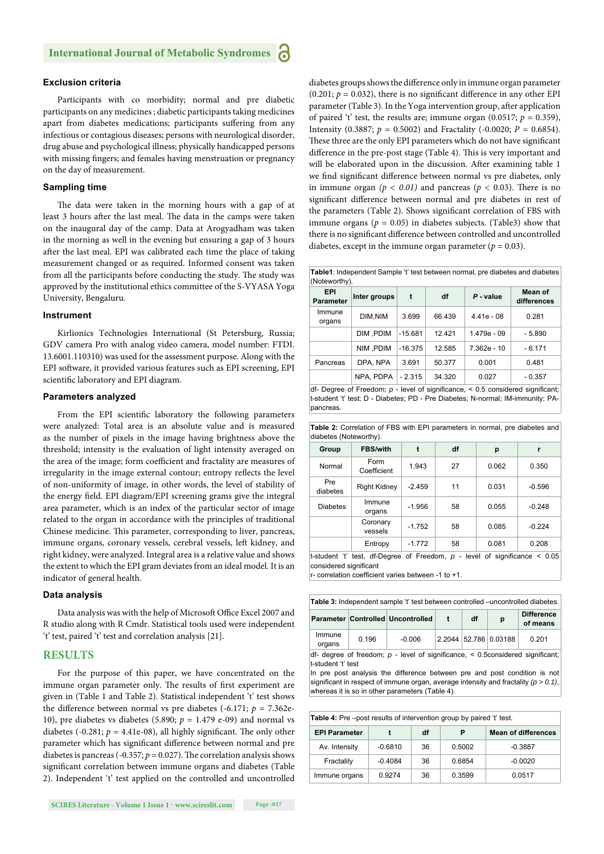#### **Exclusion criteria**

Participants with co morbidity; normal and pre diabetic participants on any medicines ; diabetic participants taking medicines apart from diabetes medications; participants suffering from any infectious or contagious diseases; persons with neurological disorder, drug abuse and psychological illness; physically handicapped persons with missing fingers; and females having menstruation or pregnancy on the day of measurement.

#### **Sampling time**

The data were taken in the morning hours with a gap of at least 3 hours after the last meal. The data in the camps were taken on the inaugural day of the camp. Data at Arogyadham was taken in the morning as well in the evening but ensuring a gap of 3 hours after the last meal. EPI was calibrated each time the place of taking measurement changed or as required. Informed consent was taken from all the participants before conducting the study. The study was approved by the institutional ethics committee of the S-VYASA Yoga University, Bengaluru.

#### **Instrument**

Kirlionics Technologies International (St Petersburg, Russia; GDV camera Pro with analog video camera, model number: FTDI. 13.6001.110310) was used for the assessment purpose. Along with the EPI software, it provided various features such as EPI screening, EPI scientific laboratory and EPI diagram.

#### **Parameters analyzed**

From the EPI scientific laboratory the following parameters were analyzed: Total area is an absolute value and is measured as the number of pixels in the image having brightness above the threshold; intensity is the evaluation of light intensity averaged on the area of the image; form coefficient and fractality are measures of irregularity in the image external contour; entropy reflects the level of non-uniformity of image, in other words, the level of stability of the energy field. EPI diagram/EPI screening grams give the integral area parameter, which is an index of the particular sector of image related to the organ in accordance with the principles of traditional Chinese medicine. This parameter, corresponding to liver, pancreas, immune organs, coronary vessels, cerebral vessels, left kidney, and right kidney, were analyzed. Integral area is a relative value and shows the extent to which the EPI gram deviates from an ideal model. It is an indicator of general health.

#### **Data analysis**

Data analysis was with the help of Microsoft Office Excel 2007 and R studio along with R Cmdr. Statistical tools used were independent 't' test, paired 't' test and correlation analysis [21].

#### **RESULTS**

For the purpose of this paper, we have concentrated on the immune organ parameter only. The results of first experiment are given in (Table 1 and Table 2). Statistical independent 't' test shows the difference between normal vs pre diabetes  $(-6.171; p = 7.362e$ 10), pre diabetes vs diabetes (5.890;  $p = 1.479$  e-09) and normal vs diabetes (-0.281;  $p = 4.41e-08$ ), all highly significant. The only other parameter which has significant difference between normal and pre diabetes is pancreas (-0.357;  $p = 0.027$ ). The correlation analysis shows significant correlation between immune organs and diabetes (Table 2). Independent 't' test applied on the controlled and uncontrolled diabetes groups shows the difference only in immune organ parameter (0.201;  $p = 0.032$ ), there is no significant difference in any other EPI parameter (Table 3). In the Yoga intervention group, after application of paired 't' test, the results are; immune organ (0.0517;  $p = 0.359$ ), Intensity (0.3887;  $p = 0.5002$ ) and Fractality (-0.0020;  $P = 0.6854$ ). These three are the only EPI parameters which do not have significant difference in the pre-post stage (Table 4). This is very important and will be elaborated upon in the discussion. After examining table 1 we find significant difference between normal vs pre diabetes, only in immune organ  $(p < 0.01)$  and pancreas  $(p < 0.03)$ . There is no significant difference between normal and pre diabetes in rest of the parameters (Table 2). Shows significant correlation of FBS with immune organs ( $p = 0.05$ ) in diabetes subjects. (Table3) show that there is no significant difference between controlled and uncontrolled diabetes, except in the immune organ parameter ( $p = 0.03$ ).

**Table1**: Independent Sample 't' test between normal, pre diabetes and diabetes (Noteworthy).

| <b>EPI</b><br><b>Parameter</b> | Inter groups | t         | df     | $P$ - value   | Mean of<br>differences |  |
|--------------------------------|--------------|-----------|--------|---------------|------------------------|--|
| Immune<br>organs               | DIM, NIM     | 3.699     | 66.439 | $4.41e - 08$  | 0.281                  |  |
|                                | DIM .PDIM    | $-15.681$ | 12.421 | 1.479e - 09   | $-5.890$               |  |
|                                | NIM .PDIM    | $-16.375$ | 12.585 | $7.362e - 10$ | $-6.171$               |  |
| Pancreas                       | DPA, NPA     | 3.691     | 50.377 | 0.001         | 0.481                  |  |
|                                | NPA. PDPA    | $-2.315$  | 34.320 | 0.027         | $-0.357$               |  |
| $\sim$ $\sim$ $\sim$           |              |           |        |               |                        |  |

df- Degree of Freedom;  $p$  - level of significance,  $<$  0.5 considered significant; t-student 't' test; D - Diabetes; PD - Pre Diabetes; N-normal; IM-immunity; PApancreas.

|                        |  | <b>Table 2:</b> Correlation of FBS with EPI parameters in normal, pre diabetes and |  |  |  |
|------------------------|--|------------------------------------------------------------------------------------|--|--|--|
| diabetes (Noteworthy). |  |                                                                                    |  |  |  |

| Group                                                                                                       | <b>FBS/with</b>     |          | df | р     |          |
|-------------------------------------------------------------------------------------------------------------|---------------------|----------|----|-------|----------|
| Normal                                                                                                      | Form<br>Coefficient | 1.943    | 27 | 0.062 | 0.350    |
| Pre<br>diabetes                                                                                             | <b>Right Kidney</b> | $-2.459$ | 11 | 0.031 | $-0.596$ |
| <b>Diabetes</b>                                                                                             | Immune<br>organs    | $-1.956$ | 58 | 0.055 | $-0.248$ |
|                                                                                                             | Coronary<br>vessels | $-1.752$ | 58 | 0.085 | $-0.224$ |
|                                                                                                             | Entropy             | $-1.772$ | 58 | 0.081 | 0.208    |
| t-student 't' test, df-Degree of Freedom, $p$ - level of significance $\leq 0.05$<br>considered significant |                     |          |    |       |          |

r- correlation coefficient varies between -1 to +1

| Table 3: Independent sample 't' test between controlled –uncontrolled diabetes. |       |                                   |              |    |                       |                               |  |
|---------------------------------------------------------------------------------|-------|-----------------------------------|--------------|----|-----------------------|-------------------------------|--|
|                                                                                 |       | Parameter Controlled Uncontrolled | $\mathbf{f}$ | df | p                     | <b>Difference</b><br>of means |  |
| Immune<br>organs                                                                | 0.196 | $-0.006$                          |              |    | 2.2044 52.786 0.03188 | 0.201                         |  |

df- degree of freedom;  $p$  - level of significance,  $\leq$  0.5considered significant; t-student 't' test

In pre post analysis the difference between pre and post condition is not significant in respect of immune organ, average intensity and fractality  $(p > 0.1)$ whereas it is so in other parameters (Table 4).

| <b>Table 4:</b> Pre –post results of intervention group by paired 't' test. |           |    |        |                            |  |  |
|-----------------------------------------------------------------------------|-----------|----|--------|----------------------------|--|--|
| <b>EPI Parameter</b>                                                        |           | df | Р      | <b>Mean of differences</b> |  |  |
| Av. Intensity                                                               | $-0.6810$ | 36 | 0.5002 | $-0.3887$                  |  |  |
| Fractality                                                                  | $-0.4084$ | 36 | 0.6854 | $-0.0020$                  |  |  |
| Immune organs                                                               | 0.9274    | 36 | 0.3599 | 0.0517                     |  |  |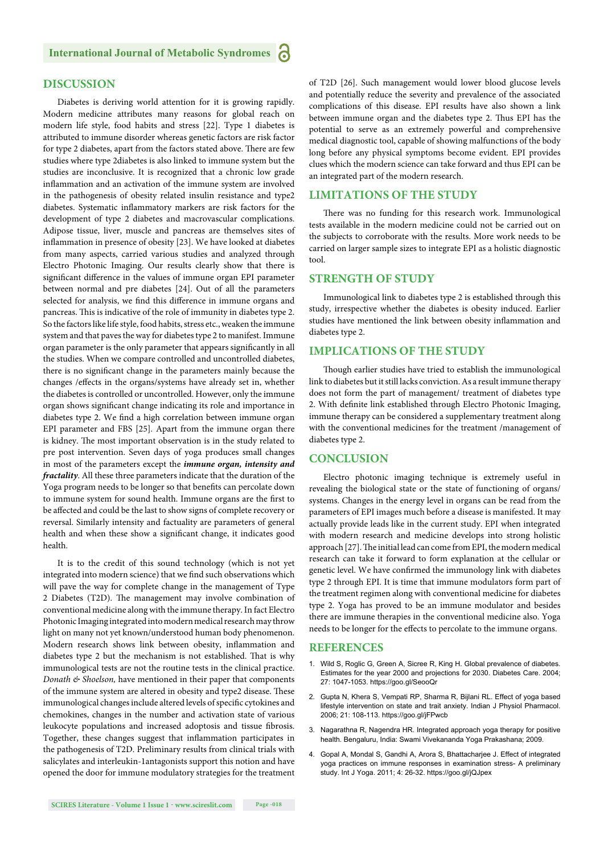# **DISCUSSION**

Diabetes is deriving world attention for it is growing rapidly. Modern medicine attributes many reasons for global reach on modern life style, food habits and stress [22]. Type 1 diabetes is attributed to immune disorder whereas genetic factors are risk factor for type 2 diabetes, apart from the factors stated above. There are few studies where type 2diabetes is also linked to immune system but the studies are inconclusive. It is recognized that a chronic low grade inflammation and an activation of the immune system are involved in the pathogenesis of obesity related insulin resistance and type2 diabetes. Systematic inflammatory markers are risk factors for the development of type 2 diabetes and macrovascular complications. Adipose tissue, liver, muscle and pancreas are themselves sites of inflammation in presence of obesity [23]. We have looked at diabetes from many aspects, carried various studies and analyzed through Electro Photonic Imaging. Our results clearly show that there is significant difference in the values of immune organ EPI parameter between normal and pre diabetes [24]. Out of all the parameters selected for analysis, we find this difference in immune organs and pancreas. This is indicative of the role of immunity in diabetes type 2. So the factors like life style, food habits, stress etc., weaken the immune system and that paves the way for diabetes type 2 to manifest. Immune organ parameter is the only parameter that appears significantly in all the studies. When we compare controlled and uncontrolled diabetes, there is no significant change in the parameters mainly because the changes /effects in the organs/systems have already set in, whether the diabetes is controlled or uncontrolled. However, only the immune organ shows significant change indicating its role and importance in diabetes type 2. We find a high correlation between immune organ EPI parameter and FBS [25]. Apart from the immune organ there is kidney. The most important observation is in the study related to pre post intervention. Seven days of yoga produces small changes in most of the parameters except the *immune organ, intensity and fractality*. All these three parameters indicate that the duration of the Yoga program needs to be longer so that benefits can percolate down to immune system for sound health. Immune organs are the first to be affected and could be the last to show signs of complete recovery or reversal. Similarly intensity and factuality are parameters of general health and when these show a significant change, it indicates good health.

It is to the credit of this sound technology (which is not yet integrated into modern science) that we find such observations which will pave the way for complete change in the management of Type 2 Diabetes (T2D). The management may involve combination of conventional medicine along with the immune therapy. In fact Electro Photonic Imaging integrated into modern medical research may throw light on many not yet known/understood human body phenomenon. Modern research shows link between obesity, inflammation and diabetes type 2 but the mechanism is not established. That is why immunological tests are not the routine tests in the clinical practice. *Donath & Shoelson,* have mentioned in their paper that components of the immune system are altered in obesity and type2 disease. These immunological changes include altered levels of specific cytokines and chemokines, changes in the number and activation state of various leukocyte populations and increased adoptosis and tissue fibrosis. Together, these changes suggest that inflammation participates in the pathogenesis of T2D. Preliminary results from clinical trials with salicylates and interleukin-1antagonists support this notion and have opened the door for immune modulatory strategies for the treatment of T2D [26]. Such management would lower blood glucose levels and potentially reduce the severity and prevalence of the associated complications of this disease. EPI results have also shown a link between immune organ and the diabetes type 2. Thus EPI has the potential to serve as an extremely powerful and comprehensive medical diagnostic tool, capable of showing malfunctions of the body long before any physical symptoms become evident. EPI provides clues which the modern science can take forward and thus EPI can be an integrated part of the modern research.

# **LIMITATIONS OF THE STUDY**

There was no funding for this research work. Immunological tests available in the modern medicine could not be carried out on the subjects to corroborate with the results. More work needs to be carried on larger sample sizes to integrate EPI as a holistic diagnostic tool.

#### **STRENGTH OF STUDY**

Immunological link to diabetes type 2 is established through this study, irrespective whether the diabetes is obesity induced. Earlier studies have mentioned the link between obesity inflammation and diabetes type 2.

### **IMPLICATIONS OF THE STUDY**

Though earlier studies have tried to establish the immunological link to diabetes but it still lacks conviction. As a result immune therapy does not form the part of management/ treatment of diabetes type 2. With definite link established through Electro Photonic Imaging, immune therapy can be considered a supplementary treatment along with the conventional medicines for the treatment /management of diabetes type 2.

#### **CONCLUSION**

Electro photonic imaging technique is extremely useful in revealing the biological state or the state of functioning of organs/ systems. Changes in the energy level in organs can be read from the parameters of EPI images much before a disease is manifested. It may actually provide leads like in the current study. EPI when integrated with modern research and medicine develops into strong holistic approach [27]. The initial lead can come from EPI, the modern medical research can take it forward to form explanation at the cellular or genetic level. We have confirmed the immunology link with diabetes type 2 through EPI. It is time that immune modulators form part of the treatment regimen along with conventional medicine for diabetes type 2. Yoga has proved to be an immune modulator and besides there are immune therapies in the conventional medicine also. Yoga needs to be longer for the effects to percolate to the immune organs.

#### **REFERENCES**

- 1. Wild S, Roglic G, Green A, Sicree R, King H. Global prevalence of diabetes. Estimates for the year 2000 and projections for 2030. Diabetes Care. 2004; 27: 1047-1053. https://goo.gl/SeooQr
- 2. Gupta N, Khera S, Vempati RP, Sharma R, Bijlani RL. Effect of yoga based lifestyle intervention on state and trait anxiety. Indian J Physiol Pharmacol. 2006; 21: 108-113. https://goo.gl/jFPwcb
- 3. Nagarathna R, Nagendra HR. Integrated approach yoga therapy for positive health. Bengaluru, India: Swami Vivekananda Yoga Prakashana; 2009.
- 4. Gopal A, Mondal S, Gandhi A, Arora S, Bhattacharjee J. Effect of integrated yoga practices on immune responses in examination stress- A preliminary study. Int J Yoga. 2011; 4: 26-32. https://goo.gl/jQJpex